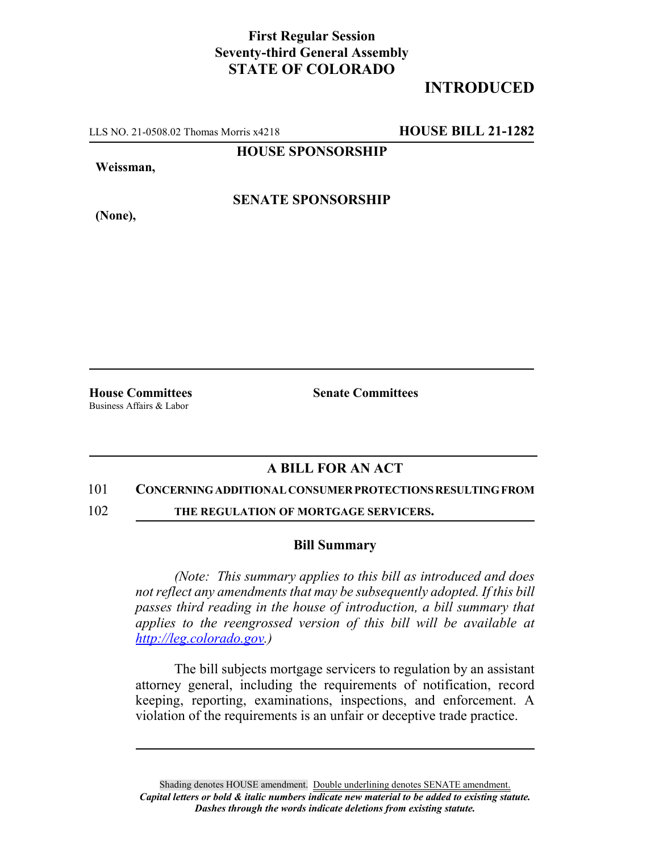## **First Regular Session Seventy-third General Assembly STATE OF COLORADO**

# **INTRODUCED**

LLS NO. 21-0508.02 Thomas Morris x4218 **HOUSE BILL 21-1282**

**HOUSE SPONSORSHIP**

**Weissman,**

**SENATE SPONSORSHIP**

**(None),**

Business Affairs & Labor

**House Committees Senate Committees**

### **A BILL FOR AN ACT**

#### 101 **CONCERNING ADDITIONAL CONSUMER PROTECTIONS RESULTING FROM**

102 **THE REGULATION OF MORTGAGE SERVICERS.**

#### **Bill Summary**

*(Note: This summary applies to this bill as introduced and does not reflect any amendments that may be subsequently adopted. If this bill passes third reading in the house of introduction, a bill summary that applies to the reengrossed version of this bill will be available at http://leg.colorado.gov.)*

The bill subjects mortgage servicers to regulation by an assistant attorney general, including the requirements of notification, record keeping, reporting, examinations, inspections, and enforcement. A violation of the requirements is an unfair or deceptive trade practice.

Shading denotes HOUSE amendment. Double underlining denotes SENATE amendment. *Capital letters or bold & italic numbers indicate new material to be added to existing statute. Dashes through the words indicate deletions from existing statute.*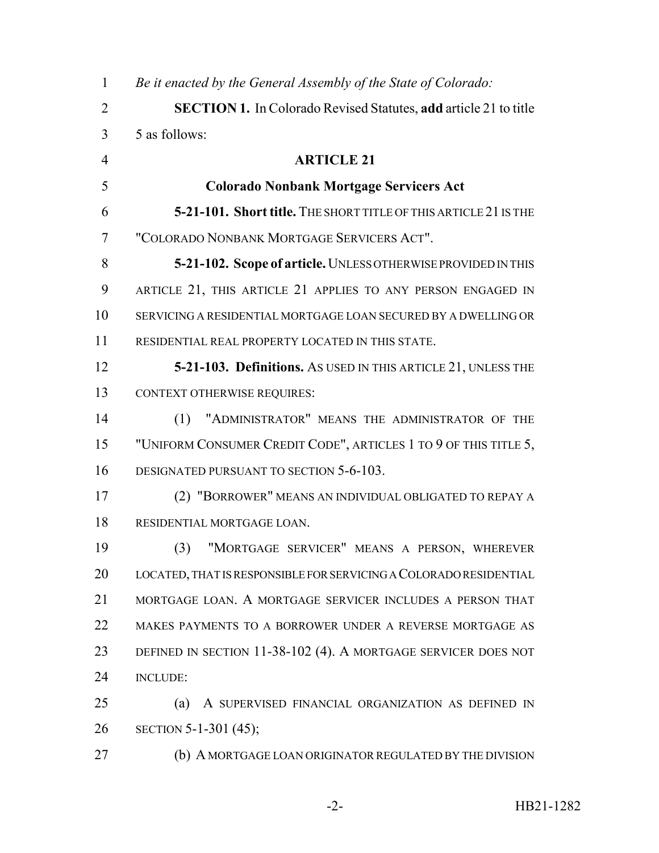| $\mathbf{1}$   | Be it enacted by the General Assembly of the State of Colorado:         |
|----------------|-------------------------------------------------------------------------|
| $\overline{2}$ | <b>SECTION 1.</b> In Colorado Revised Statutes, add article 21 to title |
| 3              | 5 as follows:                                                           |
| $\overline{4}$ | <b>ARTICLE 21</b>                                                       |
| 5              | <b>Colorado Nonbank Mortgage Servicers Act</b>                          |
| 6              | 5-21-101. Short title. THE SHORT TITLE OF THIS ARTICLE 21 IS THE        |
| 7              | "COLORADO NONBANK MORTGAGE SERVICERS ACT".                              |
| 8              | 5-21-102. Scope of article. UNLESS OTHERWISE PROVIDED IN THIS           |
| 9              | ARTICLE 21, THIS ARTICLE 21 APPLIES TO ANY PERSON ENGAGED IN            |
| 10             | SERVICING A RESIDENTIAL MORTGAGE LOAN SECURED BY A DWELLING OR          |
| 11             | RESIDENTIAL REAL PROPERTY LOCATED IN THIS STATE.                        |
| 12             | <b>5-21-103. Definitions.</b> As USED IN THIS ARTICLE 21, UNLESS THE    |
| 13             | <b>CONTEXT OTHERWISE REQUIRES:</b>                                      |
| 14             | "ADMINISTRATOR" MEANS THE ADMINISTRATOR OF THE<br>(1)                   |
| 15             | "UNIFORM CONSUMER CREDIT CODE", ARTICLES 1 TO 9 OF THIS TITLE 5,        |
| 16             | DESIGNATED PURSUANT TO SECTION 5-6-103.                                 |
| 17             | (2) "BORROWER" MEANS AN INDIVIDUAL OBLIGATED TO REPAY A                 |
| 18             | RESIDENTIAL MORTGAGE LOAN.                                              |
| 19             | "MORTGAGE SERVICER" MEANS A PERSON, WHEREVER<br>(3)                     |
| 20             | LOCATED, THAT IS RESPONSIBLE FOR SERVICING A COLORADO RESIDENTIAL       |
| 21             | MORTGAGE LOAN. A MORTGAGE SERVICER INCLUDES A PERSON THAT               |
| 22             | MAKES PAYMENTS TO A BORROWER UNDER A REVERSE MORTGAGE AS                |
| 23             | DEFINED IN SECTION 11-38-102 (4). A MORTGAGE SERVICER DOES NOT          |
| 24             | <b>INCLUDE:</b>                                                         |
| 25             | (a)<br>A SUPERVISED FINANCIAL ORGANIZATION AS DEFINED IN                |
| 26             | SECTION 5-1-301 (45);                                                   |
| 27             | (b) A MORTGAGE LOAN ORIGINATOR REGULATED BY THE DIVISION                |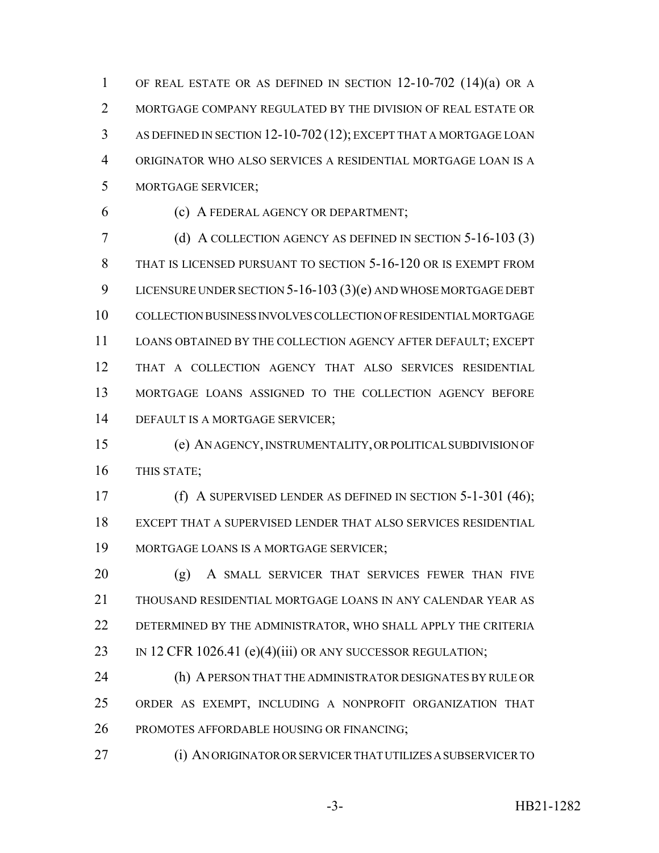OF REAL ESTATE OR AS DEFINED IN SECTION 12-10-702 (14)(a) OR A MORTGAGE COMPANY REGULATED BY THE DIVISION OF REAL ESTATE OR AS DEFINED IN SECTION 12-10-702 (12); EXCEPT THAT A MORTGAGE LOAN ORIGINATOR WHO ALSO SERVICES A RESIDENTIAL MORTGAGE LOAN IS A MORTGAGE SERVICER;

(c) A FEDERAL AGENCY OR DEPARTMENT;

 (d) A COLLECTION AGENCY AS DEFINED IN SECTION 5-16-103 (3) THAT IS LICENSED PURSUANT TO SECTION 5-16-120 OR IS EXEMPT FROM LICENSURE UNDER SECTION 5-16-103 (3)(e) AND WHOSE MORTGAGE DEBT COLLECTION BUSINESS INVOLVES COLLECTION OF RESIDENTIAL MORTGAGE LOANS OBTAINED BY THE COLLECTION AGENCY AFTER DEFAULT; EXCEPT THAT A COLLECTION AGENCY THAT ALSO SERVICES RESIDENTIAL MORTGAGE LOANS ASSIGNED TO THE COLLECTION AGENCY BEFORE DEFAULT IS A MORTGAGE SERVICER;

 (e) AN AGENCY, INSTRUMENTALITY, OR POLITICAL SUBDIVISION OF THIS STATE;

 (f) A SUPERVISED LENDER AS DEFINED IN SECTION 5-1-301 (46); EXCEPT THAT A SUPERVISED LENDER THAT ALSO SERVICES RESIDENTIAL MORTGAGE LOANS IS A MORTGAGE SERVICER;

20 (g) A SMALL SERVICER THAT SERVICES FEWER THAN FIVE THOUSAND RESIDENTIAL MORTGAGE LOANS IN ANY CALENDAR YEAR AS DETERMINED BY THE ADMINISTRATOR, WHO SHALL APPLY THE CRITERIA 23 IN 12 CFR 1026.41 (e)(4)(iii) OR ANY SUCCESSOR REGULATION;

 (h) A PERSON THAT THE ADMINISTRATOR DESIGNATES BY RULE OR ORDER AS EXEMPT, INCLUDING A NONPROFIT ORGANIZATION THAT PROMOTES AFFORDABLE HOUSING OR FINANCING;

(i) AN ORIGINATOR OR SERVICER THAT UTILIZES A SUBSERVICER TO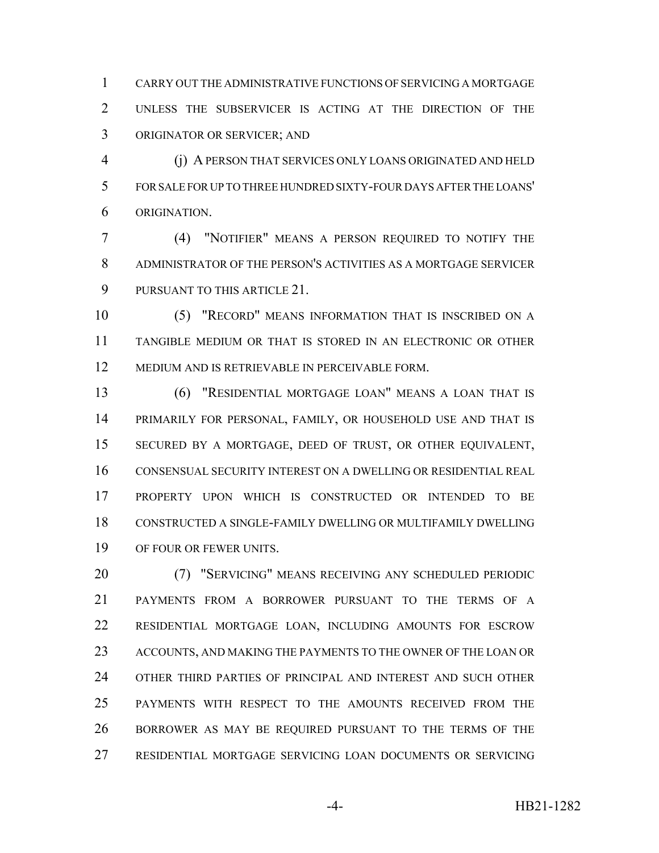CARRY OUT THE ADMINISTRATIVE FUNCTIONS OF SERVICING A MORTGAGE UNLESS THE SUBSERVICER IS ACTING AT THE DIRECTION OF THE ORIGINATOR OR SERVICER; AND

 (j) A PERSON THAT SERVICES ONLY LOANS ORIGINATED AND HELD FOR SALE FOR UP TO THREE HUNDRED SIXTY-FOUR DAYS AFTER THE LOANS' ORIGINATION.

 (4) "NOTIFIER" MEANS A PERSON REQUIRED TO NOTIFY THE ADMINISTRATOR OF THE PERSON'S ACTIVITIES AS A MORTGAGE SERVICER PURSUANT TO THIS ARTICLE 21.

 (5) "RECORD" MEANS INFORMATION THAT IS INSCRIBED ON A TANGIBLE MEDIUM OR THAT IS STORED IN AN ELECTRONIC OR OTHER MEDIUM AND IS RETRIEVABLE IN PERCEIVABLE FORM.

 (6) "RESIDENTIAL MORTGAGE LOAN" MEANS A LOAN THAT IS PRIMARILY FOR PERSONAL, FAMILY, OR HOUSEHOLD USE AND THAT IS SECURED BY A MORTGAGE, DEED OF TRUST, OR OTHER EQUIVALENT, CONSENSUAL SECURITY INTEREST ON A DWELLING OR RESIDENTIAL REAL PROPERTY UPON WHICH IS CONSTRUCTED OR INTENDED TO BE CONSTRUCTED A SINGLE-FAMILY DWELLING OR MULTIFAMILY DWELLING OF FOUR OR FEWER UNITS.

 (7) "SERVICING" MEANS RECEIVING ANY SCHEDULED PERIODIC PAYMENTS FROM A BORROWER PURSUANT TO THE TERMS OF A RESIDENTIAL MORTGAGE LOAN, INCLUDING AMOUNTS FOR ESCROW ACCOUNTS, AND MAKING THE PAYMENTS TO THE OWNER OF THE LOAN OR OTHER THIRD PARTIES OF PRINCIPAL AND INTEREST AND SUCH OTHER PAYMENTS WITH RESPECT TO THE AMOUNTS RECEIVED FROM THE BORROWER AS MAY BE REQUIRED PURSUANT TO THE TERMS OF THE RESIDENTIAL MORTGAGE SERVICING LOAN DOCUMENTS OR SERVICING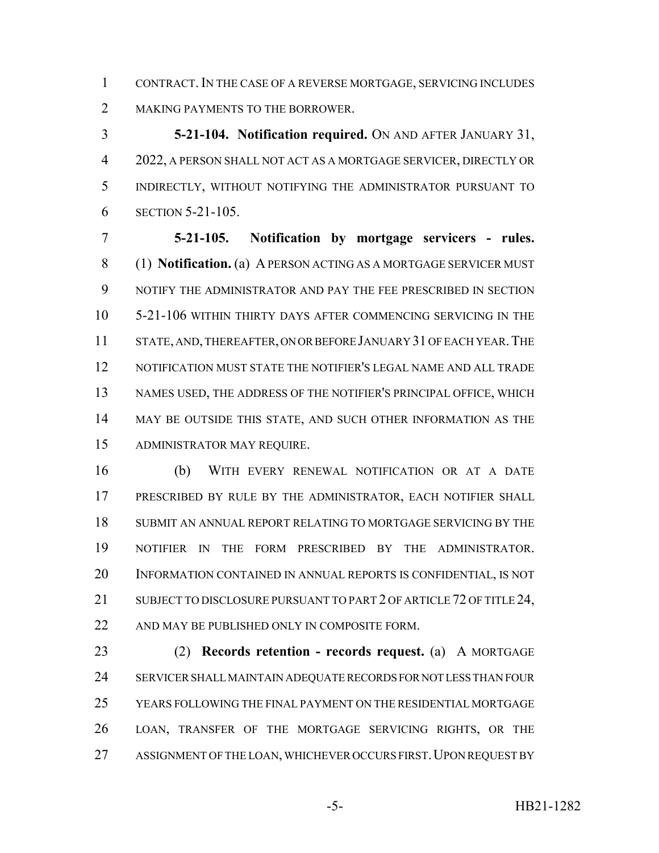CONTRACT. IN THE CASE OF A REVERSE MORTGAGE, SERVICING INCLUDES 2 MAKING PAYMENTS TO THE BORROWER.

 **5-21-104. Notification required.** ON AND AFTER JANUARY 31, 2022, A PERSON SHALL NOT ACT AS A MORTGAGE SERVICER, DIRECTLY OR INDIRECTLY, WITHOUT NOTIFYING THE ADMINISTRATOR PURSUANT TO SECTION 5-21-105.

 **5-21-105. Notification by mortgage servicers - rules.** (1) **Notification.** (a) A PERSON ACTING AS A MORTGAGE SERVICER MUST NOTIFY THE ADMINISTRATOR AND PAY THE FEE PRESCRIBED IN SECTION 5-21-106 WITHIN THIRTY DAYS AFTER COMMENCING SERVICING IN THE 11 STATE, AND, THEREAFTER, ON OR BEFORE JANUARY 31 OF EACH YEAR. THE NOTIFICATION MUST STATE THE NOTIFIER'S LEGAL NAME AND ALL TRADE NAMES USED, THE ADDRESS OF THE NOTIFIER'S PRINCIPAL OFFICE, WHICH MAY BE OUTSIDE THIS STATE, AND SUCH OTHER INFORMATION AS THE ADMINISTRATOR MAY REQUIRE.

 (b) WITH EVERY RENEWAL NOTIFICATION OR AT A DATE PRESCRIBED BY RULE BY THE ADMINISTRATOR, EACH NOTIFIER SHALL SUBMIT AN ANNUAL REPORT RELATING TO MORTGAGE SERVICING BY THE NOTIFIER IN THE FORM PRESCRIBED BY THE ADMINISTRATOR. INFORMATION CONTAINED IN ANNUAL REPORTS IS CONFIDENTIAL, IS NOT 21 SUBJECT TO DISCLOSURE PURSUANT TO PART 2 OF ARTICLE 72 OF TITLE 24, 22 AND MAY BE PUBLISHED ONLY IN COMPOSITE FORM.

 (2) **Records retention - records request.** (a) A MORTGAGE SERVICER SHALL MAINTAIN ADEQUATE RECORDS FOR NOT LESS THAN FOUR YEARS FOLLOWING THE FINAL PAYMENT ON THE RESIDENTIAL MORTGAGE LOAN, TRANSFER OF THE MORTGAGE SERVICING RIGHTS, OR THE 27 ASSIGNMENT OF THE LOAN, WHICHEVER OCCURS FIRST. UPON REQUEST BY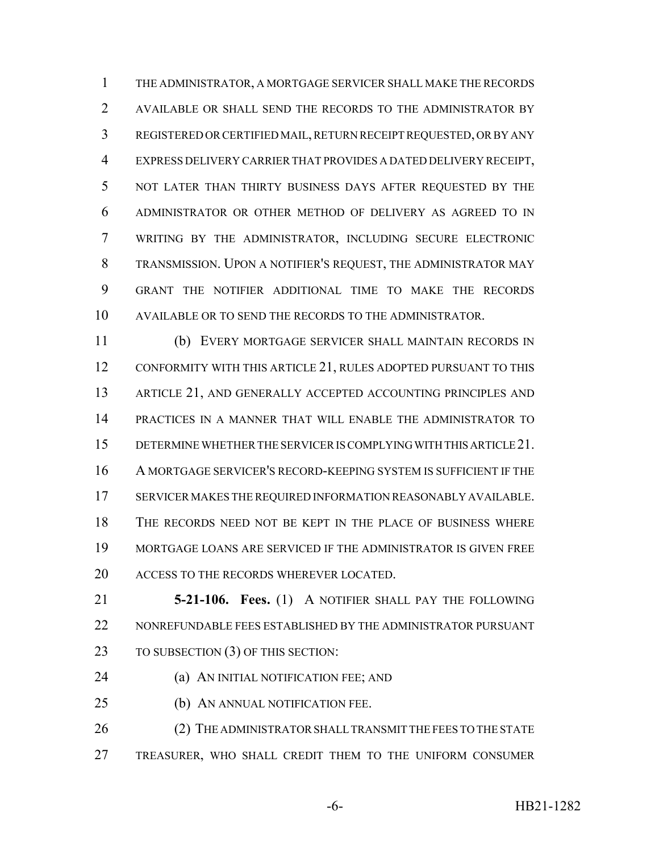THE ADMINISTRATOR, A MORTGAGE SERVICER SHALL MAKE THE RECORDS AVAILABLE OR SHALL SEND THE RECORDS TO THE ADMINISTRATOR BY REGISTERED OR CERTIFIED MAIL, RETURN RECEIPT REQUESTED, OR BY ANY EXPRESS DELIVERY CARRIER THAT PROVIDES A DATED DELIVERY RECEIPT, NOT LATER THAN THIRTY BUSINESS DAYS AFTER REQUESTED BY THE ADMINISTRATOR OR OTHER METHOD OF DELIVERY AS AGREED TO IN WRITING BY THE ADMINISTRATOR, INCLUDING SECURE ELECTRONIC TRANSMISSION. UPON A NOTIFIER'S REQUEST, THE ADMINISTRATOR MAY GRANT THE NOTIFIER ADDITIONAL TIME TO MAKE THE RECORDS AVAILABLE OR TO SEND THE RECORDS TO THE ADMINISTRATOR.

 (b) EVERY MORTGAGE SERVICER SHALL MAINTAIN RECORDS IN 12 CONFORMITY WITH THIS ARTICLE 21, RULES ADOPTED PURSUANT TO THIS 13 ARTICLE 21, AND GENERALLY ACCEPTED ACCOUNTING PRINCIPLES AND PRACTICES IN A MANNER THAT WILL ENABLE THE ADMINISTRATOR TO DETERMINE WHETHER THE SERVICER IS COMPLYING WITH THIS ARTICLE 21. A MORTGAGE SERVICER'S RECORD-KEEPING SYSTEM IS SUFFICIENT IF THE SERVICER MAKES THE REQUIRED INFORMATION REASONABLY AVAILABLE. THE RECORDS NEED NOT BE KEPT IN THE PLACE OF BUSINESS WHERE MORTGAGE LOANS ARE SERVICED IF THE ADMINISTRATOR IS GIVEN FREE 20 ACCESS TO THE RECORDS WHEREVER LOCATED.

 **5-21-106. Fees.** (1) A NOTIFIER SHALL PAY THE FOLLOWING NONREFUNDABLE FEES ESTABLISHED BY THE ADMINISTRATOR PURSUANT 23 TO SUBSECTION (3) OF THIS SECTION:

(a) AN INITIAL NOTIFICATION FEE; AND

(b) AN ANNUAL NOTIFICATION FEE.

26 (2) THE ADMINISTRATOR SHALL TRANSMIT THE FEES TO THE STATE TREASURER, WHO SHALL CREDIT THEM TO THE UNIFORM CONSUMER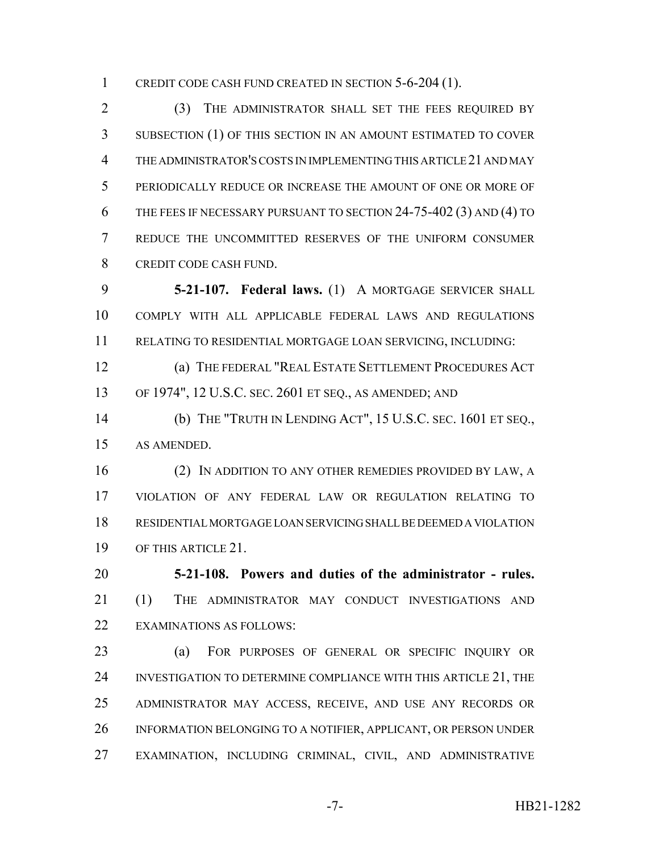CREDIT CODE CASH FUND CREATED IN SECTION 5-6-204 (1).

 (3) THE ADMINISTRATOR SHALL SET THE FEES REQUIRED BY SUBSECTION (1) OF THIS SECTION IN AN AMOUNT ESTIMATED TO COVER THE ADMINISTRATOR'S COSTS IN IMPLEMENTING THIS ARTICLE 21 AND MAY PERIODICALLY REDUCE OR INCREASE THE AMOUNT OF ONE OR MORE OF 6 THE FEES IF NECESSARY PURSUANT TO SECTION 24-75-402 (3) AND (4) TO REDUCE THE UNCOMMITTED RESERVES OF THE UNIFORM CONSUMER CREDIT CODE CASH FUND.

 **5-21-107. Federal laws.** (1) A MORTGAGE SERVICER SHALL COMPLY WITH ALL APPLICABLE FEDERAL LAWS AND REGULATIONS RELATING TO RESIDENTIAL MORTGAGE LOAN SERVICING, INCLUDING:

 (a) THE FEDERAL "REAL ESTATE SETTLEMENT PROCEDURES ACT OF 1974", 12 U.S.C. SEC. 2601 ET SEQ., AS AMENDED; AND

 (b) THE "TRUTH IN LENDING ACT", 15 U.S.C. SEC. 1601 ET SEQ., AS AMENDED.

 (2) IN ADDITION TO ANY OTHER REMEDIES PROVIDED BY LAW, A VIOLATION OF ANY FEDERAL LAW OR REGULATION RELATING TO RESIDENTIAL MORTGAGE LOAN SERVICING SHALL BE DEEMED A VIOLATION OF THIS ARTICLE 21.

 **5-21-108. Powers and duties of the administrator - rules.** (1) THE ADMINISTRATOR MAY CONDUCT INVESTIGATIONS AND EXAMINATIONS AS FOLLOWS:

 (a) FOR PURPOSES OF GENERAL OR SPECIFIC INQUIRY OR 24 INVESTIGATION TO DETERMINE COMPLIANCE WITH THIS ARTICLE 21, THE ADMINISTRATOR MAY ACCESS, RECEIVE, AND USE ANY RECORDS OR INFORMATION BELONGING TO A NOTIFIER, APPLICANT, OR PERSON UNDER EXAMINATION, INCLUDING CRIMINAL, CIVIL, AND ADMINISTRATIVE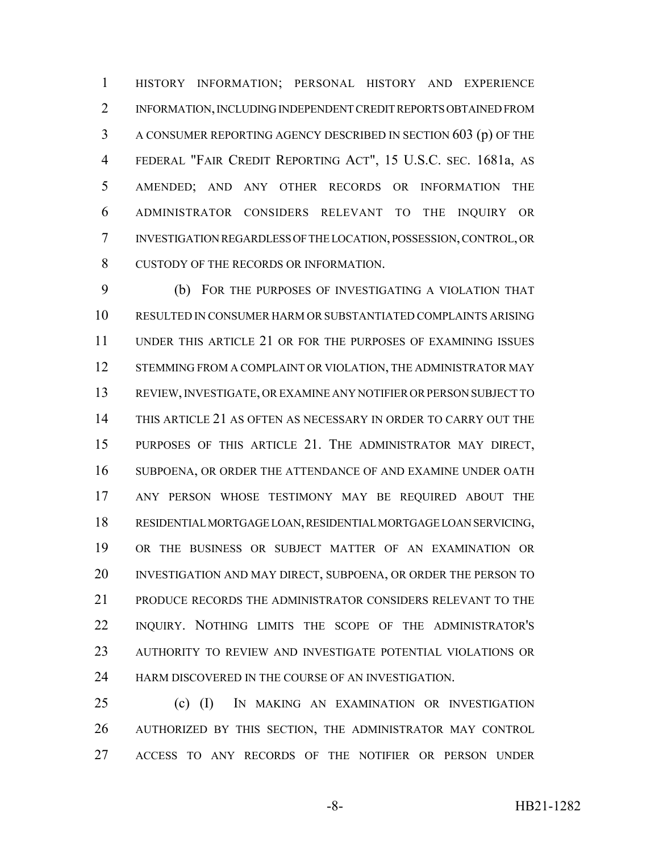HISTORY INFORMATION; PERSONAL HISTORY AND EXPERIENCE INFORMATION, INCLUDING INDEPENDENT CREDIT REPORTS OBTAINED FROM A CONSUMER REPORTING AGENCY DESCRIBED IN SECTION 603 (p) OF THE FEDERAL "FAIR CREDIT REPORTING ACT", 15 U.S.C. SEC. 1681a, AS AMENDED; AND ANY OTHER RECORDS OR INFORMATION THE ADMINISTRATOR CONSIDERS RELEVANT TO THE INQUIRY OR INVESTIGATION REGARDLESS OF THE LOCATION, POSSESSION, CONTROL, OR CUSTODY OF THE RECORDS OR INFORMATION.

 (b) FOR THE PURPOSES OF INVESTIGATING A VIOLATION THAT RESULTED IN CONSUMER HARM OR SUBSTANTIATED COMPLAINTS ARISING UNDER THIS ARTICLE 21 OR FOR THE PURPOSES OF EXAMINING ISSUES 12 STEMMING FROM A COMPLAINT OR VIOLATION, THE ADMINISTRATOR MAY REVIEW, INVESTIGATE, OR EXAMINE ANY NOTIFIER OR PERSON SUBJECT TO THIS ARTICLE 21 AS OFTEN AS NECESSARY IN ORDER TO CARRY OUT THE PURPOSES OF THIS ARTICLE 21. THE ADMINISTRATOR MAY DIRECT, SUBPOENA, OR ORDER THE ATTENDANCE OF AND EXAMINE UNDER OATH ANY PERSON WHOSE TESTIMONY MAY BE REQUIRED ABOUT THE RESIDENTIAL MORTGAGE LOAN, RESIDENTIAL MORTGAGE LOAN SERVICING, OR THE BUSINESS OR SUBJECT MATTER OF AN EXAMINATION OR INVESTIGATION AND MAY DIRECT, SUBPOENA, OR ORDER THE PERSON TO PRODUCE RECORDS THE ADMINISTRATOR CONSIDERS RELEVANT TO THE INQUIRY. NOTHING LIMITS THE SCOPE OF THE ADMINISTRATOR'S AUTHORITY TO REVIEW AND INVESTIGATE POTENTIAL VIOLATIONS OR 24 HARM DISCOVERED IN THE COURSE OF AN INVESTIGATION.

 (c) (I) IN MAKING AN EXAMINATION OR INVESTIGATION AUTHORIZED BY THIS SECTION, THE ADMINISTRATOR MAY CONTROL ACCESS TO ANY RECORDS OF THE NOTIFIER OR PERSON UNDER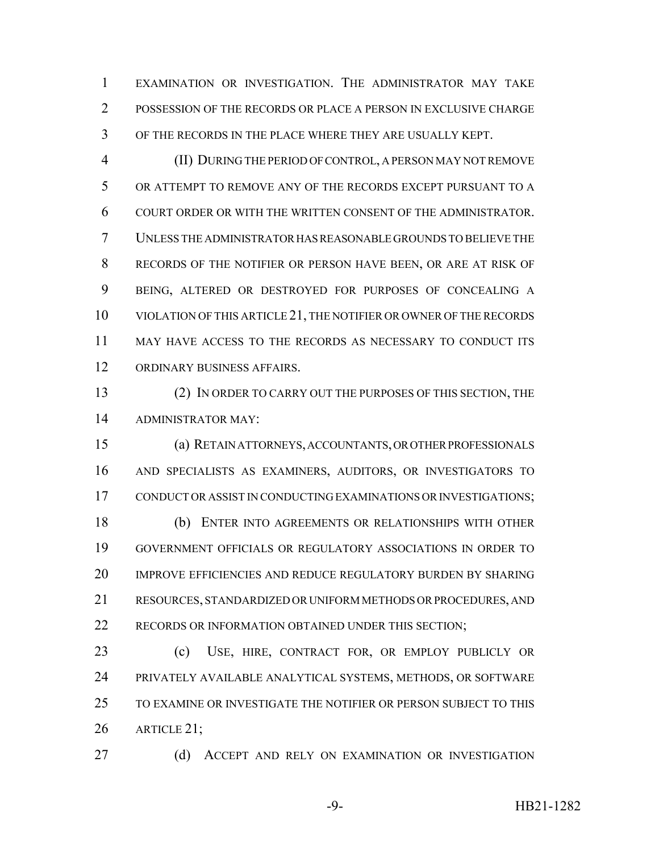EXAMINATION OR INVESTIGATION. THE ADMINISTRATOR MAY TAKE POSSESSION OF THE RECORDS OR PLACE A PERSON IN EXCLUSIVE CHARGE OF THE RECORDS IN THE PLACE WHERE THEY ARE USUALLY KEPT.

 (II) DURING THE PERIOD OF CONTROL, A PERSON MAY NOT REMOVE OR ATTEMPT TO REMOVE ANY OF THE RECORDS EXCEPT PURSUANT TO A COURT ORDER OR WITH THE WRITTEN CONSENT OF THE ADMINISTRATOR. UNLESS THE ADMINISTRATOR HAS REASONABLE GROUNDS TO BELIEVE THE RECORDS OF THE NOTIFIER OR PERSON HAVE BEEN, OR ARE AT RISK OF BEING, ALTERED OR DESTROYED FOR PURPOSES OF CONCEALING A VIOLATION OF THIS ARTICLE 21, THE NOTIFIER OR OWNER OF THE RECORDS MAY HAVE ACCESS TO THE RECORDS AS NECESSARY TO CONDUCT ITS ORDINARY BUSINESS AFFAIRS.

 (2) IN ORDER TO CARRY OUT THE PURPOSES OF THIS SECTION, THE ADMINISTRATOR MAY:

 (a) RETAIN ATTORNEYS, ACCOUNTANTS, OR OTHER PROFESSIONALS AND SPECIALISTS AS EXAMINERS, AUDITORS, OR INVESTIGATORS TO CONDUCT OR ASSIST IN CONDUCTING EXAMINATIONS OR INVESTIGATIONS; (b) ENTER INTO AGREEMENTS OR RELATIONSHIPS WITH OTHER GOVERNMENT OFFICIALS OR REGULATORY ASSOCIATIONS IN ORDER TO IMPROVE EFFICIENCIES AND REDUCE REGULATORY BURDEN BY SHARING RESOURCES, STANDARDIZED OR UNIFORM METHODS OR PROCEDURES, AND 22 RECORDS OR INFORMATION OBTAINED UNDER THIS SECTION;

 (c) USE, HIRE, CONTRACT FOR, OR EMPLOY PUBLICLY OR PRIVATELY AVAILABLE ANALYTICAL SYSTEMS, METHODS, OR SOFTWARE TO EXAMINE OR INVESTIGATE THE NOTIFIER OR PERSON SUBJECT TO THIS ARTICLE 21;

27 (d) ACCEPT AND RELY ON EXAMINATION OR INVESTIGATION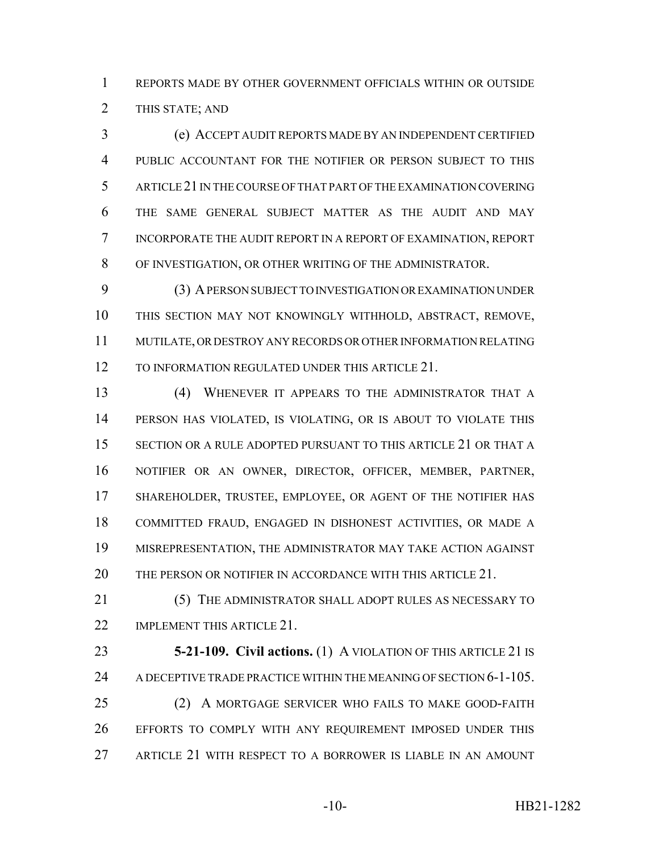REPORTS MADE BY OTHER GOVERNMENT OFFICIALS WITHIN OR OUTSIDE THIS STATE; AND

 (e) ACCEPT AUDIT REPORTS MADE BY AN INDEPENDENT CERTIFIED PUBLIC ACCOUNTANT FOR THE NOTIFIER OR PERSON SUBJECT TO THIS ARTICLE 21 IN THE COURSE OF THAT PART OF THE EXAMINATION COVERING THE SAME GENERAL SUBJECT MATTER AS THE AUDIT AND MAY INCORPORATE THE AUDIT REPORT IN A REPORT OF EXAMINATION, REPORT OF INVESTIGATION, OR OTHER WRITING OF THE ADMINISTRATOR.

 (3) A PERSON SUBJECT TO INVESTIGATION OR EXAMINATION UNDER THIS SECTION MAY NOT KNOWINGLY WITHHOLD, ABSTRACT, REMOVE, MUTILATE, OR DESTROY ANY RECORDS OR OTHER INFORMATION RELATING 12 TO INFORMATION REGULATED UNDER THIS ARTICLE 21.

 (4) WHENEVER IT APPEARS TO THE ADMINISTRATOR THAT A PERSON HAS VIOLATED, IS VIOLATING, OR IS ABOUT TO VIOLATE THIS SECTION OR A RULE ADOPTED PURSUANT TO THIS ARTICLE 21 OR THAT A NOTIFIER OR AN OWNER, DIRECTOR, OFFICER, MEMBER, PARTNER, SHAREHOLDER, TRUSTEE, EMPLOYEE, OR AGENT OF THE NOTIFIER HAS COMMITTED FRAUD, ENGAGED IN DISHONEST ACTIVITIES, OR MADE A MISREPRESENTATION, THE ADMINISTRATOR MAY TAKE ACTION AGAINST 20 THE PERSON OR NOTIFIER IN ACCORDANCE WITH THIS ARTICLE 21.

 (5) THE ADMINISTRATOR SHALL ADOPT RULES AS NECESSARY TO 22 IMPLEMENT THIS ARTICLE 21.

 **5-21-109. Civil actions.** (1) A VIOLATION OF THIS ARTICLE 21 IS 24 A DECEPTIVE TRADE PRACTICE WITHIN THE MEANING OF SECTION 6-1-105. (2) A MORTGAGE SERVICER WHO FAILS TO MAKE GOOD-FAITH EFFORTS TO COMPLY WITH ANY REQUIREMENT IMPOSED UNDER THIS ARTICLE 21 WITH RESPECT TO A BORROWER IS LIABLE IN AN AMOUNT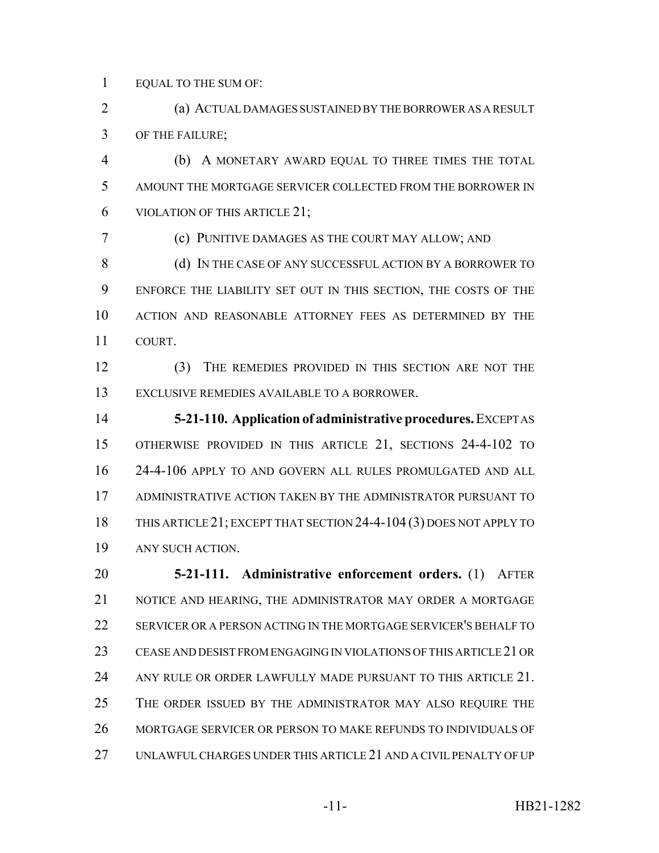EQUAL TO THE SUM OF:

 (a) ACTUAL DAMAGES SUSTAINED BY THE BORROWER AS A RESULT OF THE FAILURE;

 (b) A MONETARY AWARD EQUAL TO THREE TIMES THE TOTAL AMOUNT THE MORTGAGE SERVICER COLLECTED FROM THE BORROWER IN VIOLATION OF THIS ARTICLE 21;

(c) PUNITIVE DAMAGES AS THE COURT MAY ALLOW; AND

8 (d) IN THE CASE OF ANY SUCCESSFUL ACTION BY A BORROWER TO ENFORCE THE LIABILITY SET OUT IN THIS SECTION, THE COSTS OF THE ACTION AND REASONABLE ATTORNEY FEES AS DETERMINED BY THE COURT.

 (3) THE REMEDIES PROVIDED IN THIS SECTION ARE NOT THE EXCLUSIVE REMEDIES AVAILABLE TO A BORROWER.

 **5-21-110. Application of administrative procedures.** EXCEPT AS OTHERWISE PROVIDED IN THIS ARTICLE 21, SECTIONS 24-4-102 TO 24-4-106 APPLY TO AND GOVERN ALL RULES PROMULGATED AND ALL ADMINISTRATIVE ACTION TAKEN BY THE ADMINISTRATOR PURSUANT TO THIS ARTICLE 21; EXCEPT THAT SECTION 24-4-104 (3) DOES NOT APPLY TO ANY SUCH ACTION.

 **5-21-111. Administrative enforcement orders.** (1) AFTER NOTICE AND HEARING, THE ADMINISTRATOR MAY ORDER A MORTGAGE SERVICER OR A PERSON ACTING IN THE MORTGAGE SERVICER'S BEHALF TO CEASE AND DESIST FROM ENGAGING IN VIOLATIONS OF THIS ARTICLE 21 OR 24 ANY RULE OR ORDER LAWFULLY MADE PURSUANT TO THIS ARTICLE 21. THE ORDER ISSUED BY THE ADMINISTRATOR MAY ALSO REQUIRE THE MORTGAGE SERVICER OR PERSON TO MAKE REFUNDS TO INDIVIDUALS OF UNLAWFUL CHARGES UNDER THIS ARTICLE 21 AND A CIVIL PENALTY OF UP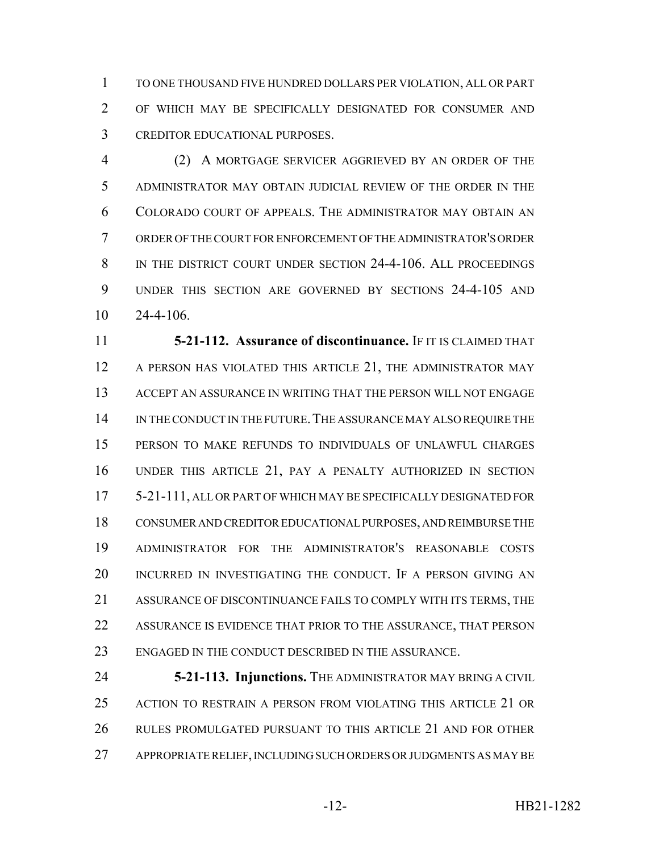TO ONE THOUSAND FIVE HUNDRED DOLLARS PER VIOLATION, ALL OR PART OF WHICH MAY BE SPECIFICALLY DESIGNATED FOR CONSUMER AND CREDITOR EDUCATIONAL PURPOSES.

 (2) A MORTGAGE SERVICER AGGRIEVED BY AN ORDER OF THE ADMINISTRATOR MAY OBTAIN JUDICIAL REVIEW OF THE ORDER IN THE COLORADO COURT OF APPEALS. THE ADMINISTRATOR MAY OBTAIN AN ORDER OF THE COURT FOR ENFORCEMENT OF THE ADMINISTRATOR'S ORDER 8 IN THE DISTRICT COURT UNDER SECTION 24-4-106. ALL PROCEEDINGS UNDER THIS SECTION ARE GOVERNED BY SECTIONS 24-4-105 AND 24-4-106.

 **5-21-112. Assurance of discontinuance.** IF IT IS CLAIMED THAT 12 A PERSON HAS VIOLATED THIS ARTICLE 21, THE ADMINISTRATOR MAY ACCEPT AN ASSURANCE IN WRITING THAT THE PERSON WILL NOT ENGAGE IN THE CONDUCT IN THE FUTURE.THE ASSURANCE MAY ALSO REQUIRE THE PERSON TO MAKE REFUNDS TO INDIVIDUALS OF UNLAWFUL CHARGES UNDER THIS ARTICLE 21, PAY A PENALTY AUTHORIZED IN SECTION 5-21-111, ALL OR PART OF WHICH MAY BE SPECIFICALLY DESIGNATED FOR CONSUMER AND CREDITOR EDUCATIONAL PURPOSES, AND REIMBURSE THE ADMINISTRATOR FOR THE ADMINISTRATOR'S REASONABLE COSTS INCURRED IN INVESTIGATING THE CONDUCT. IF A PERSON GIVING AN ASSURANCE OF DISCONTINUANCE FAILS TO COMPLY WITH ITS TERMS, THE ASSURANCE IS EVIDENCE THAT PRIOR TO THE ASSURANCE, THAT PERSON ENGAGED IN THE CONDUCT DESCRIBED IN THE ASSURANCE.

 **5-21-113. Injunctions.** THE ADMINISTRATOR MAY BRING A CIVIL ACTION TO RESTRAIN A PERSON FROM VIOLATING THIS ARTICLE 21 OR RULES PROMULGATED PURSUANT TO THIS ARTICLE 21 AND FOR OTHER APPROPRIATE RELIEF, INCLUDING SUCH ORDERS OR JUDGMENTS AS MAY BE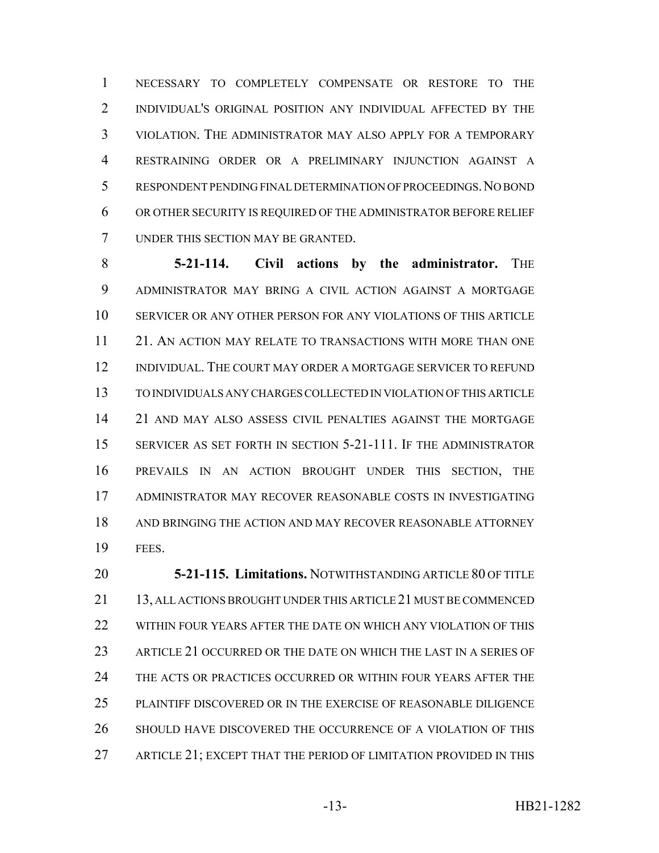NECESSARY TO COMPLETELY COMPENSATE OR RESTORE TO THE INDIVIDUAL'S ORIGINAL POSITION ANY INDIVIDUAL AFFECTED BY THE VIOLATION. THE ADMINISTRATOR MAY ALSO APPLY FOR A TEMPORARY RESTRAINING ORDER OR A PRELIMINARY INJUNCTION AGAINST A RESPONDENT PENDING FINAL DETERMINATION OF PROCEEDINGS.NO BOND OR OTHER SECURITY IS REQUIRED OF THE ADMINISTRATOR BEFORE RELIEF UNDER THIS SECTION MAY BE GRANTED.

**5-21-114. Civil actions by the administrator.** THE ADMINISTRATOR MAY BRING A CIVIL ACTION AGAINST A MORTGAGE SERVICER OR ANY OTHER PERSON FOR ANY VIOLATIONS OF THIS ARTICLE 21. AN ACTION MAY RELATE TO TRANSACTIONS WITH MORE THAN ONE INDIVIDUAL. THE COURT MAY ORDER A MORTGAGE SERVICER TO REFUND TO INDIVIDUALS ANY CHARGES COLLECTED IN VIOLATION OF THIS ARTICLE 21 AND MAY ALSO ASSESS CIVIL PENALTIES AGAINST THE MORTGAGE SERVICER AS SET FORTH IN SECTION 5-21-111. IF THE ADMINISTRATOR PREVAILS IN AN ACTION BROUGHT UNDER THIS SECTION, THE ADMINISTRATOR MAY RECOVER REASONABLE COSTS IN INVESTIGATING 18 AND BRINGING THE ACTION AND MAY RECOVER REASONABLE ATTORNEY FEES.

 **5-21-115. Limitations.** NOTWITHSTANDING ARTICLE 80 OF TITLE 13, ALL ACTIONS BROUGHT UNDER THIS ARTICLE 21 MUST BE COMMENCED WITHIN FOUR YEARS AFTER THE DATE ON WHICH ANY VIOLATION OF THIS ARTICLE 21 OCCURRED OR THE DATE ON WHICH THE LAST IN A SERIES OF THE ACTS OR PRACTICES OCCURRED OR WITHIN FOUR YEARS AFTER THE PLAINTIFF DISCOVERED OR IN THE EXERCISE OF REASONABLE DILIGENCE SHOULD HAVE DISCOVERED THE OCCURRENCE OF A VIOLATION OF THIS ARTICLE 21; EXCEPT THAT THE PERIOD OF LIMITATION PROVIDED IN THIS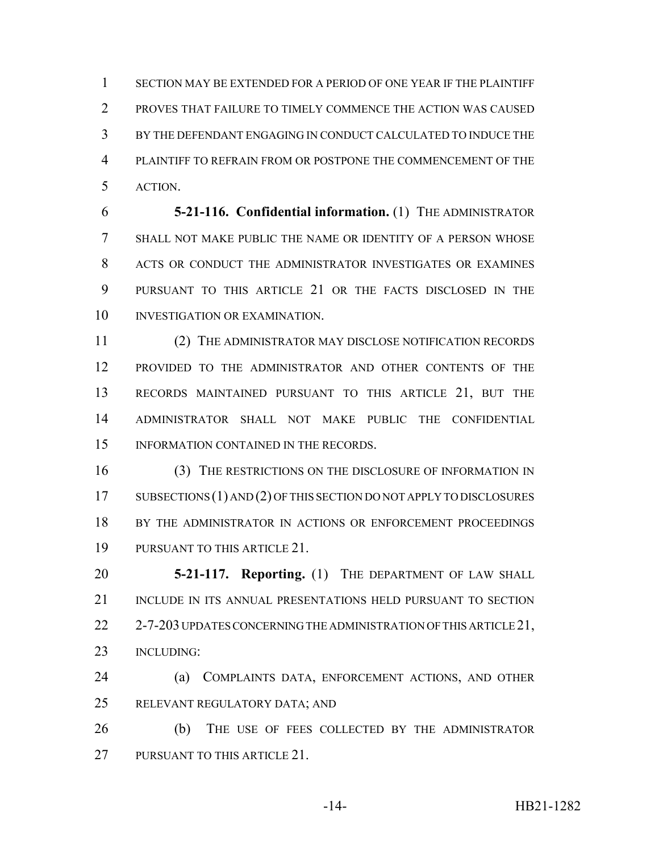SECTION MAY BE EXTENDED FOR A PERIOD OF ONE YEAR IF THE PLAINTIFF PROVES THAT FAILURE TO TIMELY COMMENCE THE ACTION WAS CAUSED BY THE DEFENDANT ENGAGING IN CONDUCT CALCULATED TO INDUCE THE PLAINTIFF TO REFRAIN FROM OR POSTPONE THE COMMENCEMENT OF THE ACTION.

 **5-21-116. Confidential information.** (1) THE ADMINISTRATOR SHALL NOT MAKE PUBLIC THE NAME OR IDENTITY OF A PERSON WHOSE ACTS OR CONDUCT THE ADMINISTRATOR INVESTIGATES OR EXAMINES PURSUANT TO THIS ARTICLE 21 OR THE FACTS DISCLOSED IN THE 10 INVESTIGATION OR EXAMINATION.

 (2) THE ADMINISTRATOR MAY DISCLOSE NOTIFICATION RECORDS PROVIDED TO THE ADMINISTRATOR AND OTHER CONTENTS OF THE RECORDS MAINTAINED PURSUANT TO THIS ARTICLE 21, BUT THE ADMINISTRATOR SHALL NOT MAKE PUBLIC THE CONFIDENTIAL 15 INFORMATION CONTAINED IN THE RECORDS.

 (3) THE RESTRICTIONS ON THE DISCLOSURE OF INFORMATION IN 17 SUBSECTIONS (1) AND (2) OF THIS SECTION DO NOT APPLY TO DISCLOSURES BY THE ADMINISTRATOR IN ACTIONS OR ENFORCEMENT PROCEEDINGS PURSUANT TO THIS ARTICLE 21.

 **5-21-117. Reporting.** (1) THE DEPARTMENT OF LAW SHALL INCLUDE IN ITS ANNUAL PRESENTATIONS HELD PURSUANT TO SECTION 22 2-7-203 UPDATES CONCERNING THE ADMINISTRATION OF THIS ARTICLE 21, INCLUDING:

 (a) COMPLAINTS DATA, ENFORCEMENT ACTIONS, AND OTHER RELEVANT REGULATORY DATA; AND

 (b) THE USE OF FEES COLLECTED BY THE ADMINISTRATOR 27 PURSUANT TO THIS ARTICLE 21.